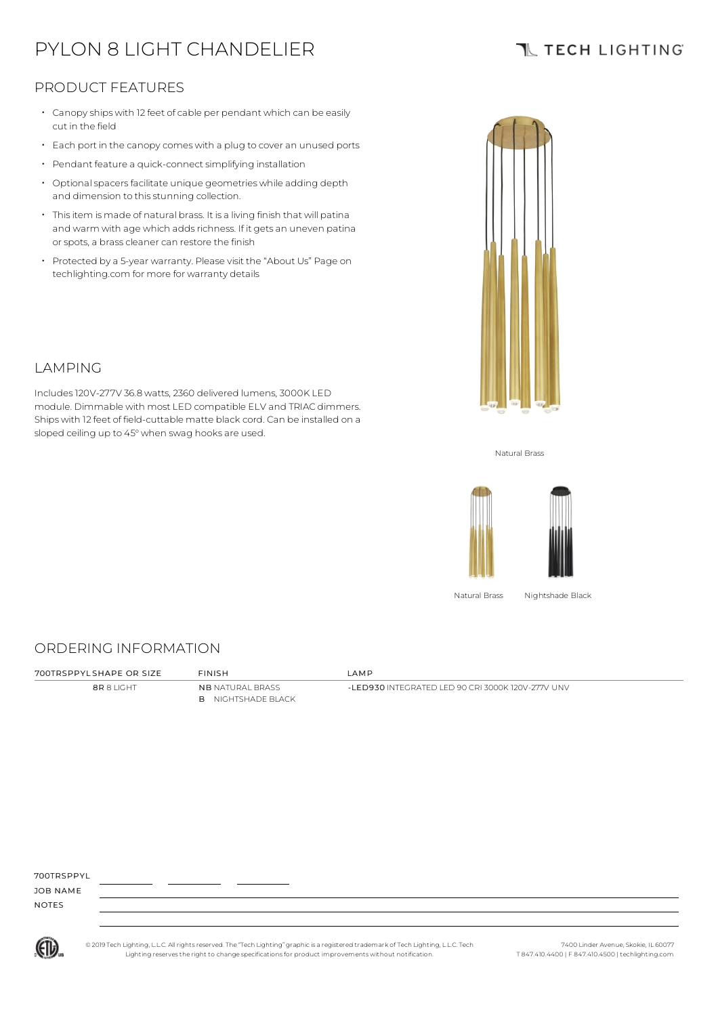# PYLON 8 LIGHT CHANDELIER

## **TL TECH LIGHTING**

### PRODUCT FEATURES

- Canopy ships with 12 feet of cable per pendant which can be easily cut in the field
- Each port in the canopycomes with <sup>a</sup> plug to cover an unused ports
- Pendant feature a quick-connect simplifying installation
- $\cdot$  Optional spacers facilitate unique geometries while adding depth and dimension to this stunning collection.
- Thisitem is made of natural brass. It is a living finish that will patina and warm with age which adds richness. If it gets an uneven patina or spots, a brass cleaner can restore the finish
- Protected by a 5-year warranty. Please visit the "About Us" Page on techlighting.com for more for warranty details

Includes120V-277V 36.8 watts, 2360 delivered lumens, 3000K LED



Natural Brass



Natural Brass Nightshade Black

#### ORDERING INFORMATION

8R 8 LIGHT NB NATURAL BRASS B NIGHTSHADE BLACK

700TRSPPYL SHAPE OR SIZE FINISH LAMP

-LED930 INTEGRATED LED 90 CRI 3000K 120V-277V UNV

700TRSPPYL

JOB NAME NOTES



© 2019 Tech Lighting, L.L.C. All rightsreserved. The "Tech Lighting" graphicis a registered trademark of Tech Lighting, L.L.C. Tech Lighting reservesthe right to change specificationsfor product improvements without notification.

7400 Linder Avenue, Skokie, IL 60077 T 847.410.4400 | F 847.410.4500 | techlighting.com



LAMPING